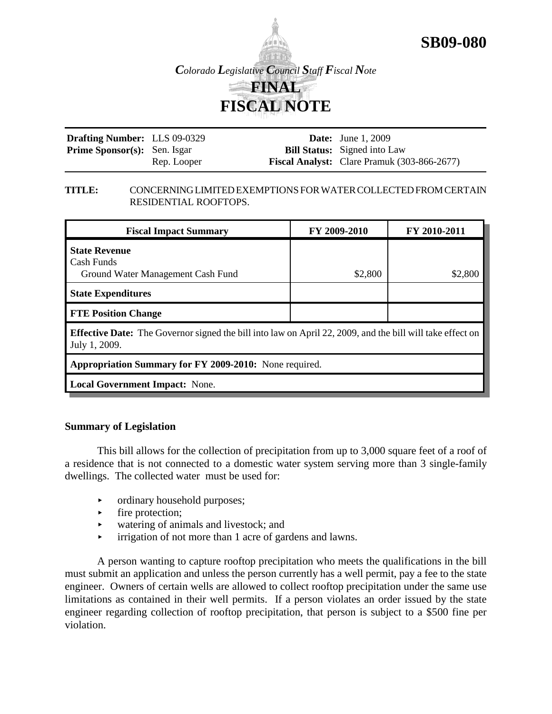

**SB09-080**

**Drafting Number:** LLS 09-0329 **Prime Sponsor(s):** Sen. Isgar Rep. Looper **Date:** June 1, 2009 **Bill Status:** Signed into Law **Fiscal Analyst:** Clare Pramuk (303-866-2677)

### **TITLE:** CONCERNING LIMITED EXEMPTIONS FOR WATER COLLECTED FROM CERTAIN RESIDENTIAL ROOFTOPS.

| <b>Fiscal Impact Summary</b>                                                                                                      | FY 2009-2010 | FY 2010-2011 |  |  |
|-----------------------------------------------------------------------------------------------------------------------------------|--------------|--------------|--|--|
| <b>State Revenue</b><br>Cash Funds<br>Ground Water Management Cash Fund                                                           | \$2,800      | \$2,800      |  |  |
| <b>State Expenditures</b>                                                                                                         |              |              |  |  |
| <b>FTE Position Change</b>                                                                                                        |              |              |  |  |
| <b>Effective Date:</b> The Governor signed the bill into law on April 22, 2009, and the bill will take effect on<br>July 1, 2009. |              |              |  |  |
| Appropriation Summary for FY 2009-2010: None required.                                                                            |              |              |  |  |
| <b>Local Government Impact:</b> None.                                                                                             |              |              |  |  |

## **Summary of Legislation**

This bill allows for the collection of precipitation from up to 3,000 square feet of a roof of a residence that is not connected to a domestic water system serving more than 3 single-family dwellings. The collected water must be used for:

- ordinary household purposes;
- $\blacktriangleright$  fire protection;
- < watering of animals and livestock; and
- $\triangleright$  irrigation of not more than 1 acre of gardens and lawns.

A person wanting to capture rooftop precipitation who meets the qualifications in the bill must submit an application and unless the person currently has a well permit, pay a fee to the state engineer. Owners of certain wells are allowed to collect rooftop precipitation under the same use limitations as contained in their well permits. If a person violates an order issued by the state engineer regarding collection of rooftop precipitation, that person is subject to a \$500 fine per violation.